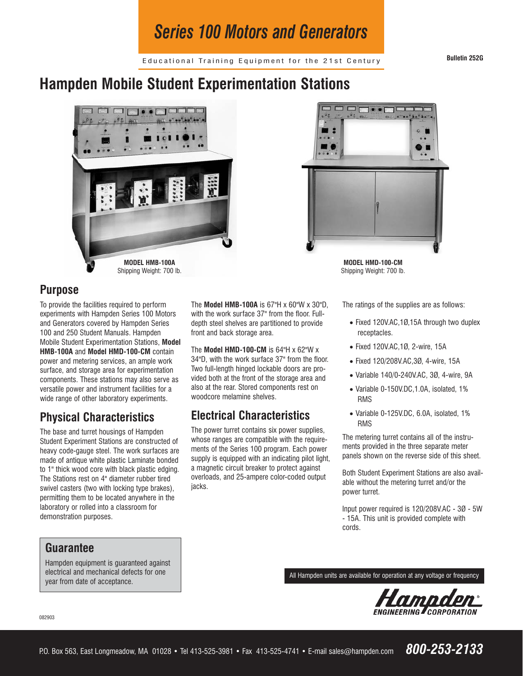# *Series 100 Motors and Generators*

Educational Training Equipment for the 21st Century **Bulletin 252G**

# **Hampden Mobile Student Experimentation Stations**





**MODEL HMD-100-CM** Shipping Weight: 700 lb.

#### **Purpose**

To provide the facilities required to perform experiments with Hampden Series 100 Motors and Generators covered by Hampden Series 100 and 250 Student Manuals. Hampden Mobile Student Experimentation Stations, **Model HMB-100A** and **Model HMD-100-CM** contain power and metering services, an ample work surface, and storage area for experimentation components. These stations may also serve as versatile power and instrument facilities for a wide range of other laboratory experiments.

## **Physical Characteristics**

The base and turret housings of Hampden Student Experiment Stations are constructed of heavy code-gauge steel. The work surfaces are made of antique white plastic Laminate bonded to 1" thick wood core with black plastic edging. The Stations rest on 4" diameter rubber tired swivel casters (two with locking type brakes), permitting them to be located anywhere in the laboratory or rolled into a classroom for demonstration purposes.

**Guarantee**

Hampden equipment is guaranteed against electrical and mechanical defects for one year from date of acceptance.

The **Model HMB-100A** is 67"H x 60"W x 30"D, with the work surface 37" from the floor. Fulldepth steel shelves are partitioned to provide front and back storage area.

The **Model HMD-100-CM** is 64"H x 62"W x 34"D, with the work surface 37" from the floor. Two full-length hinged lockable doors are provided both at the front of the storage area and also at the rear. Stored components rest on woodcore melamine shelves.

### **Electrical Characteristics**

The power turret contains six power supplies, whose ranges are compatible with the requirements of the Series 100 program. Each power supply is equipped with an indicating pilot light, a magnetic circuit breaker to protect against overloads, and 25-ampere color-coded output jacks.

The ratings of the supplies are as follows:

- Fixed 120V.AC,1Ø,15A through two duplex receptacles.
- Fixed 120V.AC,1Ø, 2-wire, 15A
- Fixed 120/208V.AC,3Ø, 4-wire, 15A
- Variable 140/0-240V.AC, 3Ø, 4-wire, 9A
- Variable 0-150V.DC,1.0A, isolated, 1% RMS
- Variable 0-125V.DC, 6.0A, isolated, 1% RMS

The metering turret contains all of the instruments provided in the three separate meter panels shown on the reverse side of this sheet.

Both Student Experiment Stations are also available without the metering turret and/or the power turret.

Input power required is 120/208V.AC - 3Ø - 5W - 15A. This unit is provided complete with cords.

All Hampden units are available for operation at any voltage or frequency